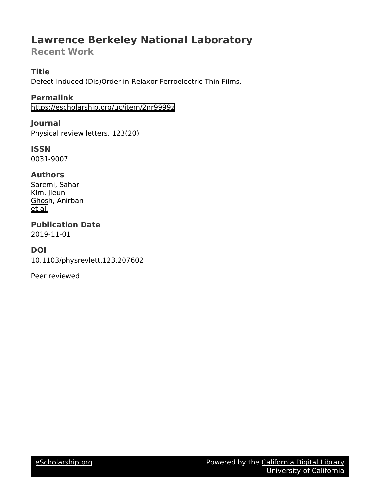# **Lawrence Berkeley National Laboratory**

# **Recent Work**

#### **Title**

Defect-Induced (Dis)Order in Relaxor Ferroelectric Thin Films.

#### **Permalink**

<https://escholarship.org/uc/item/2nr9999z>

#### **Journal**

Physical review letters, 123(20)

## **ISSN**

0031-9007

### **Authors**

Saremi, Sahar Kim, Jieun Ghosh, Anirban [et al.](https://escholarship.org/uc/item/2nr9999z#author)

# **Publication Date**

2019-11-01

### **DOI**

10.1103/physrevlett.123.207602

Peer reviewed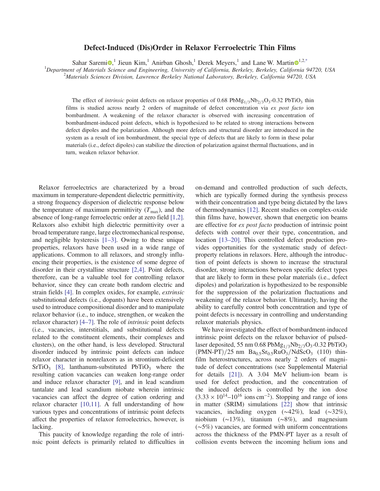#### Defect-Induced (Dis)Order in Relaxor Ferroelectric Thin Films

Sahar Saremi $\mathbf{D}$ ,<sup>1</sup> Jieun Kim,<sup>1</sup> Anirban Ghosh,<sup>1</sup> Derek Meyers,<sup>1</sup> and Lane W. Martin $\mathbf{D}^{1,2,*}$ 

 ${}^{1}$ Department of Materials Science and Engineering, University of California, Berkeley, Berkeley, California 94720, USA

<sup>2</sup>Materials Sciences Division, Lawrence Berkeley National Laboratory, Berkeley, California 94720, USA

The effect of *intrinsic* point defects on relaxor properties of 0.68 PbMg<sub>1/3</sub>Nb<sub>2/3</sub>O<sub>3</sub>-0.32 PbTiO<sub>3</sub> thin films is studied across nearly 2 orders of magnitude of defect concentration via ex post facto ion bombardment. A weakening of the relaxor character is observed with increasing concentration of bombardment-induced point defects, which is hypothesized to be related to strong interactions between defect dipoles and the polarization. Although more defects and structural disorder are introduced in the system as a result of ion bombardment, the special type of defects that are likely to form in these polar materials (i.e., defect dipoles) can stabilize the direction of polarization against thermal fluctuations, and in turn, weaken relaxor behavior.

Relaxor ferroelectrics are characterized by a broad maximum in temperature-dependent dielectric permittivity, a strong frequency dispersion of dielectric response below the temperature of maximum permittivity  $(T_{\text{max}})$ , and the absence of long-range ferroelectric order at zero field [1,2]. Relaxors also exhibit high dielectric permittivity over a broad temperature range, large electromechanical response, and negligible hysteresis  $[1-3]$ . Owing to these unique properties, relaxors have been used in a wide range of applications. Common to all relaxors, and strongly influencing their properties, is the existence of some degree of disorder in their crystalline structure [2,4]. Point defects, therefore, can be a valuable tool for controlling relaxor behavior, since they can create both random electric and strain fields [4]. In complex oxides, for example, extrinsic substitutional defects (i.e., dopants) have been extensively used to introduce compositional disorder and to manipulate relaxor behavior (i.e., to induce, strengthen, or weaken the relaxor character) [4–7]. The role of intrinsic point defects (i.e., vacancies, interstitials, and substitutional defects related to the constituent elements, their complexes and clusters), on the other hand, is less developed. Structural disorder induced by intrinsic point defects can induce relaxor character in nonrelaxors as in strontium-deficient  $SrTiO<sub>3</sub>$  [8], lanthanum-substituted PbTiO<sub>3</sub> where the resulting cation vacancies can weaken long-range order and induce relaxor character [9], and in lead scandium tantalate and lead scandium niobate wherein intrinsic vacancies can affect the degree of cation ordering and relaxor character [10,11]. A full understanding of how various types and concentrations of intrinsic point defects affect the properties of relaxor ferroelectrics, however, is lacking.

This paucity of knowledge regarding the role of intrinsic point defects is primarily related to difficulties in on-demand and controlled production of such defects, which are typically formed during the synthesis process with their concentration and type being dictated by the laws of thermodynamics [12]. Recent studies on complex-oxide thin films have, however, shown that energetic ion beams are effective for ex post facto production of intrinsic point defects with control over their type, concentration, and location [13–20]. This controlled defect production provides opportunities for the systematic study of defectproperty relations in relaxors. Here, although the introduction of point defects is shown to increase the structural disorder, strong interactions between specific defect types that are likely to form in these polar materials (i.e., defect dipoles) and polarization is hypothesized to be responsible for the suppression of the polarization fluctuations and weakening of the relaxor behavior. Ultimately, having the ability to carefully control both concentration and type of point defects is necessary in controlling and understanding relaxor materials physics.

We have investigated the effect of bombardment-induced intrinsic point defects on the relaxor behavior of pulsedlaser deposited, 55 nm 0.68  $PbMg_{1/3}Nb_{2/3}O_3$ -0.32  $\overline{PbTiO_3}$  $(PMN-PT)/25$  nm  $Ba<sub>0.5</sub>Sr<sub>0.5</sub>RuO<sub>3</sub>/NdScO<sub>3</sub>$  (110) thinfilm heterostructures, across nearly 2 orders of magnitude of defect concentrations (see Supplemental Material for details [21]). A 3.04 MeV helium-ion beam is used for defect production, and the concentration of the induced defects is controlled by the ion dose  $(3.33 \times 10^{14} - 10^{16} \text{ ions cm}^{-2})$ . Stopping and range of ions in matter (SRIM) simulations [22] show that intrinsic vacancies, including oxygen (∼42%), lead (∼32%), niobium (∼13%), titanium (∼8%), and magnesium (∼5%) vacancies, are formed with uniform concentrations across the thickness of the PMN-PT layer as a result of collision events between the incoming helium ions and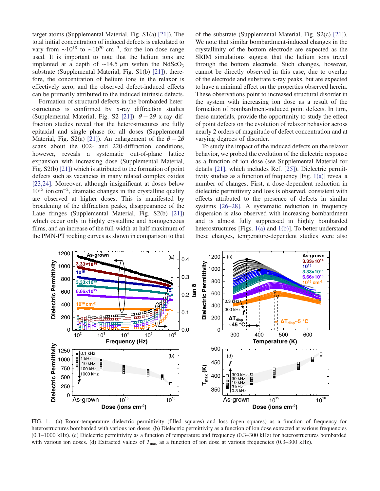target atoms (Supplemental Material, Fig. S1(a) [21]). The total initial concentration of induced defects is calculated to vary from  $\sim 10^{18}$  to  $\sim 10^{20}$  cm<sup>-3</sup>, for the ion-dose range used. It is important to note that the helium ions are implanted at a depth of ~14.5  $\mu$ m within the NdScO<sub>3</sub> substrate (Supplemental Material, Fig. S1(b) [21]); therefore, the concentration of helium ions in the relaxor is effectively zero, and the observed defect-induced effects can be primarily attributed to the induced intrinsic defects.

Formation of structural defects in the bombarded heterostructures is confirmed by x-ray diffraction studies (Supplemental Material, Fig. S2 [21]).  $\theta - 2\theta$  x-ray diffraction studies reveal that the heterostructures are fully epitaxial and single phase for all doses (Supplemental Material, Fig. S2(a) [21]). An enlargement of the  $\theta - 2\theta$ scans about the 002- and 220-diffraction conditions, however, reveals a systematic out-of-plane lattice expansion with increasing dose (Supplemental Material, Fig. S2(b) [21]) which is attributed to the formation of point defects such as vacancies in many related complex oxides [23,24]. Moreover, although insignificant at doses below 10<sup>15</sup> ion cm<sup>−</sup><sup>2</sup> , dramatic changes in the crystalline quality are observed at higher doses. This is manifested by broadening of the diffraction peaks, disappearance of the Laue fringes (Supplemental Material, Fig. S2(b) [21]) which occur only in highly crystalline and homogeneous films, and an increase of the full-width-at-half-maximum of the PMN-PT rocking curves as shown in comparison to that of the substrate (Supplemental Material, Fig. S2(c) [21]). We note that similar bombardment-induced changes in the crystallinity of the bottom electrode are expected as the SRIM simulations suggest that the helium ions travel through the bottom electrode. Such changes, however, cannot be directly observed in this case, due to overlap of the electrode and substrate x-ray peaks, but are expected to have a minimal effect on the properties observed herein. These observations point to increased structural disorder in the system with increasing ion dose as a result of the formation of bombardment-induced point defects. In turn, these materials, provide the opportunity to study the effect of point defects on the evolution of relaxor behavior across nearly 2 orders of magnitude of defect concentration and at varying degrees of disorder.

To study the impact of the induced defects on the relaxor behavior, we probed the evolution of the dielectric response as a function of ion dose (see Supplemental Material for details [21], which includes Ref. [25]). Dielectric permittivity studies as a function of frequency [Fig. 1(a)] reveal a number of changes. First, a dose-dependent reduction in dielectric permittivity and loss is observed, consistent with effects attributed to the presence of defects in similar systems [26–28]. A systematic reduction in frequency dispersion is also observed with increasing bombardment and is almost fully suppressed in highly bombarded heterostructures [Figs. 1(a) and 1(b)]. To better understand these changes, temperature-dependent studies were also



FIG. 1. (a) Room-temperature dielectric permittivity (filled squares) and loss (open squares) as a function of frequency for heterostructures bombarded with various ion doses. (b) Dielectric permittivity as a function of ion dose extracted at various frequencies (0.1–1000 kHz). (c) Dielectric permittivity as a function of temperature and frequency (0.3–300 kHz) for heterostructures bombarded with various ion doses. (d) Extracted values of  $T_{\text{max}}$  as a function of ion dose at various frequencies (0.3–300 kHz).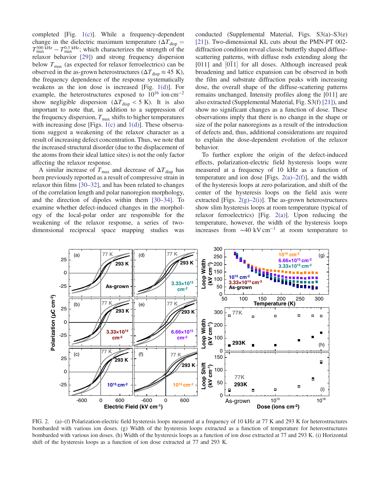completed [Fig. 1(c)]. While a frequency-dependent change in the dielectric maximum temperature ( $\Delta T_{\text{disp}} =$  $T_{\text{max}}^{300 \text{ kHz}} - T_{\text{max}}^{0.3 \text{ kHz}}$ ; which characterizes the strength of the relaxor behavior [29]) and strong frequency dispersion below  $T_{\text{max}}$  (as expected for relaxor ferroelectrics) can be observed in the as-grown heterostructures ( $\Delta T_{\text{disp}} \approx 45 \text{ K}$ ), the frequency dependence of the response systematically weakens as the ion dose is increased [Fig. 1(d)]. For example, the heterostructures exposed to  $10^{16}$  ion cm<sup>-2</sup> show negligible dispersion ( $\Delta T_{\text{diss}} < 5$  K). It is also important to note that, in addition to a suppression of the frequency dispersion,  $T_{\text{max}}$  shifts to higher temperatures with increasing dose [Figs. 1(c) and 1(d)]. These observations suggest a weakening of the relaxor character as a result of increasing defect concentration. Thus, we note that the increased structural disorder (due to the displacement of the atoms from their ideal lattice sites) is not the only factor affecting the relaxor response.

A similar increase of  $T_{\text{max}}$  and decrease of  $\Delta T_{\text{disp}}$  has been previously reported as a result of compressive strain in relaxor thin films [30–32], and has been related to changes of the correlation length and polar nanoregion morphology, and the direction of dipoles within them [30–34]. To examine whether defect-induced changes in the morphology of the local-polar order are responsible for the weakening of the relaxor response, a series of twodimensional reciprocal space mapping studies was conducted (Supplemental Material, Figs. S3(a)–S3(e) [21]). Two-dimensional KL cuts about the PMN-PT 002 diffraction condition reveal classic butterfly shaped diffusescattering patterns, with diffuse rods extending along the  $[011]$  and  $[011]$  for all doses. Although increased peak broadening and lattice expansion can be observed in both the film and substrate diffraction peaks with increasing dose, the overall shape of the diffuse-scattering patterns remains unchanged. Intensity profiles along the [011] are also extracted (Supplemental Material, Fig. S3(f) [21]), and show no significant changes as a function of dose. These observations imply that there is no change in the shape or size of the polar nanoregions as a result of the introduction of defects and, thus, additional considerations are required to explain the dose-dependent evolution of the relaxor behavior.

To further explore the origin of the defect-induced effects, polarization-electric field hysteresis loops were measured at a frequency of 10 kHz as a function of temperature and ion dose [Figs.  $2(a)-2(f)$ ], and the width of the hysteresis loops at zero polarization, and shift of the center of the hysteresis loops on the field axis were extracted [Figs.  $2(g)-2(i)$ ]. The as-grown heterostructures show slim hysteresis loops at room temperature (typical of relaxor ferroelectrics) [Fig. 2(a)]. Upon reducing the temperature, however, the width of the hysteresis loops increases from ∼40 kV cm<sup>−</sup><sup>1</sup> at room temperature to



FIG. 2. (a)–(f) Polarization-electric field hysteresis loops measured at a frequency of 10 kHz at 77 K and 293 K for heterostructures bombarded with various ion doses. (g) Width of the hysteresis loops extracted as a function of temperature for heterostructures bombarded with various ion doses. (h) Width of the hysteresis loops as a function of ion dose extracted at 77 and 293 K. (i) Horizontal shift of the hysteresis loops as a function of ion dose extracted at 77 and 293 K.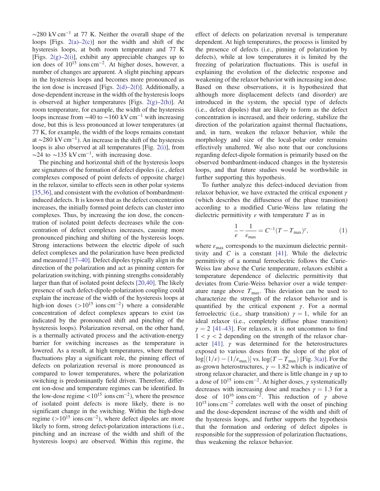∼280 kV cm<sup>−</sup><sup>1</sup> at 77 K. Neither the overall shape of the loops [Figs.  $2(a)-2(c)$ ] nor the width and shift of the hysteresis loops, at both room temperature and 77 K [Figs.  $2(g)-2(i)$ ], exhibit any appreciable changes up to ion does of  $10^{15}$  ions cm<sup>-2</sup>. At higher doses, however, a number of changes are apparent. A slight pinching appears in the hysteresis loops and becomes more pronounced as the ion dose is increased [Figs.  $2(d)$ – $2(f)$ ]. Additionally, a dose-dependent increase in the width of the hysteresis loops is observed at higher temperatures [Figs.  $2(g)-2(h)$ ]. At room temperature, for example, the width of the hysteresis loops increase from  $\sim$ 40 to  $\sim$ 160 kV cm<sup>-1</sup> with increasing dose, but this is less pronounced at lower temperatures (at 77 K, for example, the width of the loops remains constant at ∼280 kV cm<sup>−</sup><sup>1</sup> ). An increase in the shift of the hysteresis loops is also observed at all temperatures [Fig. 2(i)], from  $\sim$ 24 to  $\sim$ 135 kV cm<sup>-1</sup>, with increasing dose.

The pinching and horizontal shift of the hysteresis loops are signatures of the formation of defect dipoles (i.e., defect complexes composed of point defects of opposite charge) in the relaxor, similar to effects seen in other polar systems [35,36], and consistent with the evolution of bombardmentinduced defects. It is known that as the defect concentration increases, the initially formed point defects can cluster into complexes. Thus, by increasing the ion dose, the concentration of isolated point defects decreases while the concentration of defect complexes increases, causing more pronounced pinching and shifting of the hysteresis loops. Strong interactions between the electric dipole of such defect complexes and the polarization have been predicted and measured [37–40]. Defect dipoles typically align in the direction of the polarization and act as pinning centers for polarization switching, with pinning strengths considerably larger than that of isolated point defects [20,40]. The likely presence of such defect-dipole-polarization coupling could explain the increase of the width of the hysteresis loops at high-ion doses  $(>10^{15} \text{ ions cm}^{-2})$  where a considerable concentration of defect complexes appears to exist (as indicated by the pronounced shift and pinching of the hysteresis loops). Polarization reversal, on the other hand, is a thermally activated process and the activation-energy barrier for switching increases as the temperature is lowered. As a result, at high temperatures, where thermal fluctuations play a significant role, the pinning effect of defects on polarization reversal is more pronounced as compared to lower temperatures, where the polarization switching is predominantly field driven. Therefore, different ion-dose and temperature regimes can be identified. In the low-dose regime < $10^{15}$  ions cm<sup>-2</sup>), where the presence of isolated point defects is more likely, there is no significant change in the switching. Within the high-dose regime (>10<sup>15</sup> ions cm<sup>−</sup><sup>2</sup> ), where defect dipoles are more likely to form, strong defect-polarization interactions (i.e., pinching and an increase of the width and shift of the hysteresis loops) are observed. Within this regime, the

effect of defects on polarization reversal is temperature dependent. At high temperatures, the process is limited by the presence of defects (i.e., pinning of polarization by defects), while at low temperatures it is limited by the freezing of polarization fluctuations. This is useful in explaining the evolution of the dielectric response and weakening of the relaxor behavior with increasing ion dose. Based on these observations, it is hypothesized that although more displacement defects (and disorder) are introduced in the system, the special type of defects (i.e., defect dipoles) that are likely to form as the defect concentration is increased, and their ordering, stabilize the direction of the polarization against thermal fluctuations, and, in turn, weaken the relaxor behavior, while the morphology and size of the local-polar order remains effectively unaltered. We also note that our conclusions regarding defect-dipole formation is primarily based on the observed bombardment-induced changes in the hysteresis loops, and that future studies would be worthwhile in further supporting this hypothesis.

To further analyze this defect-induced deviation from relaxor behavior, we have extracted the critical exponent  $\gamma$ (which describes the diffuseness of the phase transition) according to a modified Curie-Weiss law relating the dielectric permittivity  $\varepsilon$  with temperature T as in

$$
\frac{1}{\varepsilon} - \frac{1}{\varepsilon_{\text{max}}} = C^{-1} (T - T_{\text{max}})^{\gamma},\tag{1}
$$

where  $\varepsilon_{\text{max}}$  corresponds to the maximum dielectric permittivity and  $C$  is a constant [41]. While the dielectric permittivity of a normal ferroelectric follows the Curie-Weiss law above the Curie temperature, relaxors exhibit a temperature dependence of dielectric permittivity that deviates from Curie-Weiss behavior over a wide temperature range above  $T_{\text{max}}$ . This deviation can be used to characterize the strength of the relaxor behavior and is quantified by the critical exponent  $\gamma$ . For a normal ferroelectric (i.e., sharp transition)  $\gamma = 1$ , while for an ideal relaxor (i.e., completely diffuse phase transition)  $\gamma = 2$  [41–43]. For relaxors, it is not uncommon to find  $1 < y < 2$  depending on the strength of the relaxor character [41].  $\gamma$  was determined for the heterostructures exposed to various doses from the slope of the plot of  $\log[(1/\varepsilon) - (1/\varepsilon_{\text{max}})]$  vs.  $\log(T - T_{\text{max}})$  [Fig. 3(a)]. For the as-grown heterostructures,  $\gamma = 1.82$  which is indicative of strong relaxor character, and there is little change in  $\gamma$  up to a dose of  $10^{15}$  ions cm<sup>-2</sup>. At higher doses,  $\gamma$  systematically decreases with increasing dose and reaches  $\gamma = 1.3$  for a dose of  $10^{16}$  ions cm<sup>-2</sup>. This reduction of  $\gamma$  above 10<sup>15</sup> ions cm<sup>−</sup><sup>2</sup> correlates well with the onset of pinching and the dose-dependent increase of the width and shift of the hysteresis loops, and further supports the hypothesis that the formation and ordering of defect dipoles is responsible for the suppression of polarization fluctuations, thus weakening the relaxor behavior.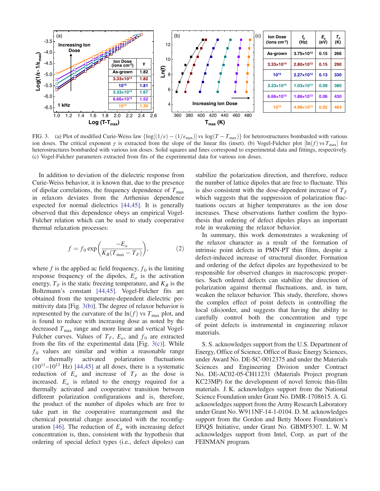

FIG. 3. (a) Plot of modified Curie-Weiss law  $\{\log[(1/\epsilon) - (1/\epsilon_{\text{max}})]\$  vs  $\log(T - T_{\text{max}})\}$  for heterostructures bombarded with various ion doses. The critical exponent  $\gamma$  is extracted from the slope of the linear fits (inset). (b) Vogel-Fulcher plot  $[\ln(f) \text{ vs } T_{\text{max}}]$  for heterostructures bombarded with various ion doses. Solid squares and lines correspond to experimental data and fittings, respectively. (c) Vogel-Fulcher parameters extracted from fits of the experimental data for various ion doses.

In addition to deviation of the dielectric response from Curie-Weiss behavior, it is known that, due to the presence of dipolar correlations, the frequency dependence of  $T_{\text{max}}$ in relaxors deviates from the Arrhenius dependence expected for normal dielectrics [44,45]. It is generally observed that this dependence obeys an empirical Vogel-Fulcher relation which can be used to study cooperative thermal relaxation processes:

$$
f = f_0 \exp\left(\frac{-E_a}{K_B(T_{\text{max}} - T_F)}\right),\tag{2}
$$

where f is the applied ac field frequency,  $f_0$  is the limiting response frequency of the dipoles,  $E_a$  is the activation energy,  $T_F$  is the static freezing temperature, and  $K_B$  is the Boltzmann's constant [44,45]. Vogel-Fulcher fits are obtained from the temperature-dependent dielectric permittivity data [Fig. 3(b)]. The degree of relaxor behavior is represented by the curvature of the  $ln(f)$  vs  $T_{\text{max}}$  plot, and is found to reduce with increasing dose as noted by the decreased  $T_{\text{max}}$  range and more linear and vertical Vogel-Fulcher curves. Values of  $T_F$ ,  $E_a$ , and  $f_0$  are extracted from the fits of the experimental data [Fig.  $3(c)$ ]. While  $f<sub>0</sub>$  values are similar and within a reasonable range for thermally activated polarization fluctuations  $(10^{11} - 10^{13}$  Hz) [44,45] at all doses, there is a systematic reduction of  $E_a$  and increase of  $T_F$  as the dose is increased.  $E_a$  is related to the energy required for a thermally activated and cooperative transition between different polarization configurations and is, therefore, the product of the number of dipoles which are free to take part in the cooperative rearrangement and the chemical potential change associated with the reconfiguration [46]. The reduction of  $E_a$  with increasing defect concentration is, thus, consistent with the hypothesis that ordering of special defect types (i.e., defect dipoles) can stabilize the polarization direction, and therefore, reduce the number of lattice dipoles that are free to fluctuate. This is also consistent with the dose-dependent increase of  $T_F$ which suggests that the suppression of polarization fluctuations occurs at higher temperatures as the ion dose increases. These observations further confirm the hypothesis that ordering of defect dipoles plays an important role in weakening the relaxor behavior.

In summary, this work demonstrates a weakening of the relaxor character as a result of the formation of intrinsic point defects in PMN-PT thin films, despite a defect-induced increase of structural disorder. Formation and ordering of the defect dipoles are hypothesized to be responsible for observed changes in macroscopic properties. Such ordered defects can stabilize the direction of polarization against thermal fluctuations, and, in turn, weaken the relaxor behavior. This study, therefore, shows the complex effect of point defects in controlling the local (dis)order, and suggests that having the ability to carefully control both the concentration and type of point defects is instrumental in engineering relaxor materials.

S. S. acknowledges support from the U.S. Department of Energy, Office of Science, Office of Basic Energy Sciences, under Award No. DE-SC-0012375 and under the Materials Sciences and Engineering Division under Contract No. DE-AC02-05-CH11231 (Materials Project program KC23MP) for the development of novel ferroic thin-film materials. J. K. acknowledges support from the National Science Foundation under Grant No. DMR-1708615. A. G. acknowledges support from the Army Research Laboratory under Grant No. W911NF-14-1-0104. D. M. acknowledges support from the Gordon and Betty Moore Foundation's EPiQS Initiative, under Grant No. GBMF5307. L. W. M acknowledges support from Intel, Corp. as part of the FEINMAN program.